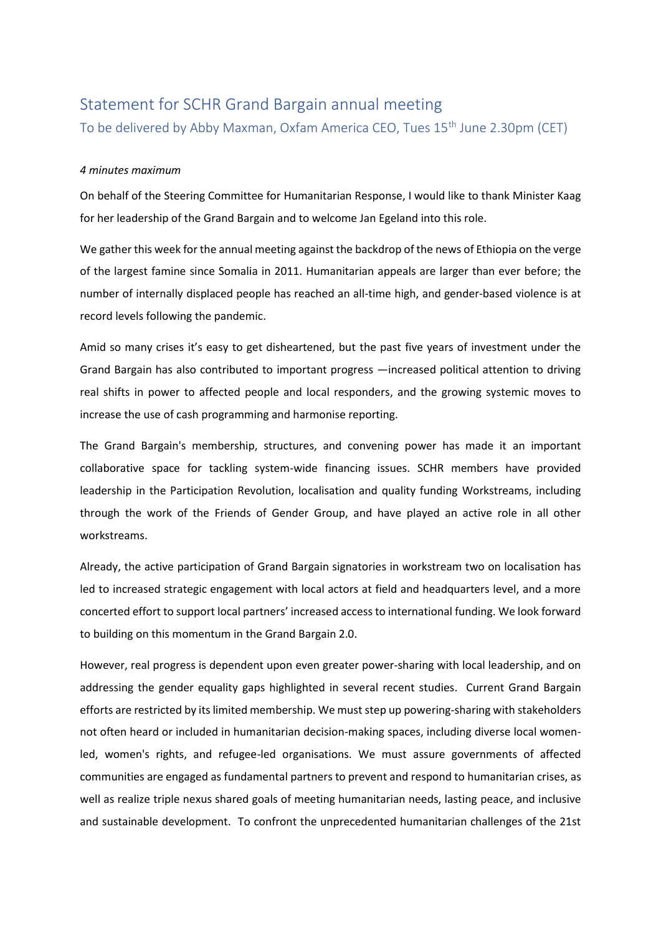## Statement for SCHR Grand Bargain annual meeting

To be delivered by Abby Maxman, Oxfam America CEO, Tues 15th June 2.30pm (CET)

## *4 minutes maximum*

On behalf of the Steering Committee for Humanitarian Response, I would like to thank Minister Kaag for her leadership of the Grand Bargain and to welcome Jan Egeland into this role.

We gather this week for the annual meeting against the backdrop of the news of Ethiopia on the verge of the largest famine since Somalia in 2011. Humanitarian appeals are larger than ever before; the number of internally displaced people has reached an all-time high, and gender-based violence is at record levels following the pandemic.

Amid so many crises it's easy to get disheartened, but the past five years of investment under the Grand Bargain has also contributed to important progress —increased political attention to driving real shifts in power to affected people and local responders, and the growing systemic moves to increase the use of cash programming and harmonise reporting.

The Grand Bargain's membership, structures, and convening power has made it an important collaborative space for tackling system-wide financing issues. SCHR members have provided leadership in the Participation Revolution, localisation and quality funding Workstreams, including through the work of the Friends of Gender Group, and have played an active role in all other workstreams.

Already, the active participation of Grand Bargain signatories in workstream two on localisation has led to increased strategic engagement with local actors at field and headquarters level, and a more concerted effort to support local partners' increased access to international funding. We look forward to building on this momentum in the Grand Bargain 2.0.

However, real progress is dependent upon even greater power-sharing with local leadership, and on addressing the gender equality gaps highlighted in several recent studies. Current Grand Bargain efforts are restricted by its limited membership. We must step up powering-sharing with stakeholders not often heard or included in humanitarian decision-making spaces, including diverse local womenled, women's rights, and refugee-led organisations. We must assure governments of affected communities are engaged as fundamental partners to prevent and respond to humanitarian crises, as well as realize triple nexus shared goals of meeting humanitarian needs, lasting peace, and inclusive and sustainable development. To confront the unprecedented humanitarian challenges of the 21st